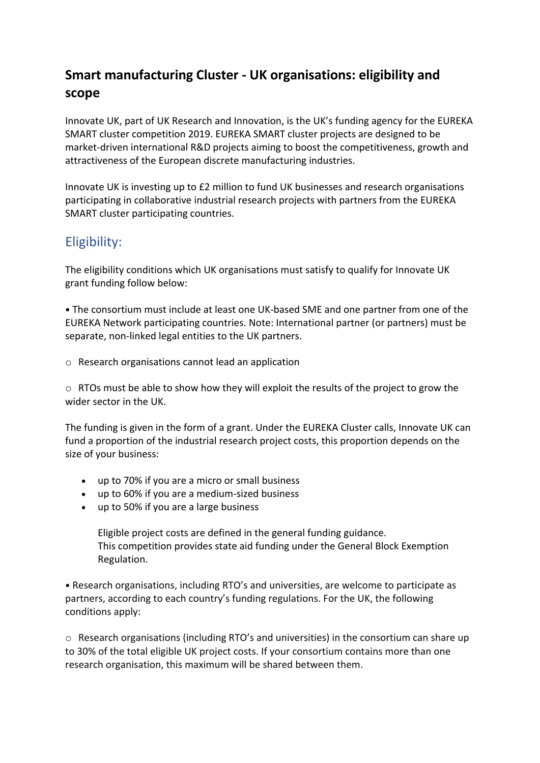## **Smart manufacturing Cluster - UK organisations: eligibility and scope**

Innovate UK, part of UK Research and Innovation, is the UK's funding agency for the EUREKA SMART cluster competition 2019. EUREKA SMART cluster projects are designed to be market-driven international R&D projects aiming to boost the competitiveness, growth and attractiveness of the European discrete manufacturing industries.

Innovate UK is investing up to £2 million to fund UK businesses and research organisations participating in collaborative industrial research projects with partners from the EUREKA SMART cluster participating countries.

## Eligibility:

The eligibility conditions which UK organisations must satisfy to qualify for Innovate UK grant funding follow below:

• The consortium must include at least one UK-based SME and one partner from one of the EUREKA Network participating countries. Note: International partner (or partners) must be separate, non-linked legal entities to the UK partners.

o Research organisations cannot lead an application

o RTOs must be able to show how they will exploit the results of the project to grow the wider sector in the UK.

The funding is given in the form of a grant. Under the EUREKA Cluster calls, Innovate UK can fund a proportion of the industrial research project costs, this proportion depends on the size of your business:

- up to 70% if you are a micro or small business
- up to 60% if you are a medium-sized business
- up to 50% if you are a large business

Eligible project costs are defined in the general funding guidance. This competition provides state aid funding under the General Block Exemption Regulation.

• Research organisations, including RTO's and universities, are welcome to participate as partners, according to each country's funding regulations. For the UK, the following conditions apply:

o Research organisations (including RTO's and universities) in the consortium can share up to 30% of the total eligible UK project costs. If your consortium contains more than one research organisation, this maximum will be shared between them.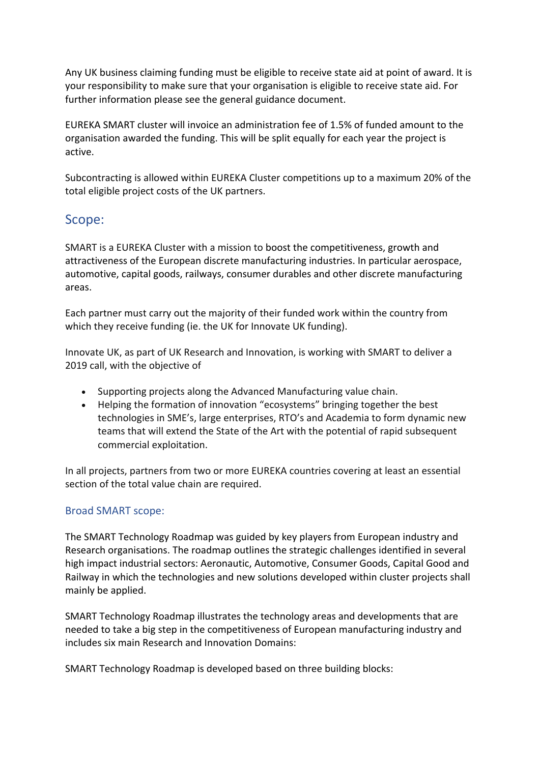Any UK business claiming funding must be eligible to receive state aid at point of award. It is your responsibility to make sure that your organisation is eligible to receive state aid. For further information please see the general guidance document.

EUREKA SMART cluster will invoice an administration fee of 1.5% of funded amount to the organisation awarded the funding. This will be split equally for each year the project is active.

Subcontracting is allowed within EUREKA Cluster competitions up to a maximum 20% of the total eligible project costs of the UK partners.

## Scope:

SMART is a EUREKA Cluster with a mission to boost the competitiveness, growth and attractiveness of the European discrete manufacturing industries. In particular aerospace, automotive, capital goods, railways, consumer durables and other discrete manufacturing areas.

Each partner must carry out the majority of their funded work within the country from which they receive funding (ie. the UK for Innovate UK funding).

Innovate UK, as part of UK Research and Innovation, is working with SMART to deliver a 2019 call, with the objective of

- Supporting projects along the Advanced Manufacturing value chain.
- Helping the formation of innovation "ecosystems" bringing together the best technologies in SME's, large enterprises, RTO's and Academia to form dynamic new teams that will extend the State of the Art with the potential of rapid subsequent commercial exploitation.

In all projects, partners from two or more EUREKA countries covering at least an essential section of the total value chain are required.

### Broad SMART scope:

The SMART Technology Roadmap was guided by key players from European industry and Research organisations. The roadmap outlines the strategic challenges identified in several high impact industrial sectors: Aeronautic, Automotive, Consumer Goods, Capital Good and Railway in which the technologies and new solutions developed within cluster projects shall mainly be applied.

SMART Technology Roadmap illustrates the technology areas and developments that are needed to take a big step in the competitiveness of European manufacturing industry and includes six main Research and Innovation Domains:

SMART Technology Roadmap is developed based on three building blocks: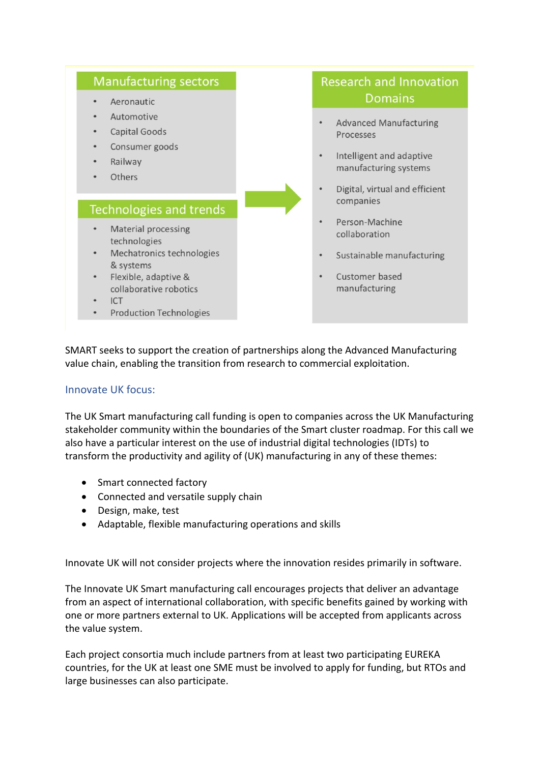

# **Research and Innovation Domains**

- **Advanced Manufacturing** Processes
- Intelligent and adaptive manufacturing systems
- Digital, virtual and efficient companies
- Person-Machine collaboration
- Sustainable manufacturing
- Customer based manufacturing

SMART seeks to support the creation of partnerships along the Advanced Manufacturing value chain, enabling the transition from research to commercial exploitation.

### Innovate UK focus:

The UK Smart manufacturing call funding is open to companies across the UK Manufacturing stakeholder community within the boundaries of the Smart cluster roadmap. For this call we also have a particular interest on the use of industrial digital technologies (IDTs) to transform the productivity and agility of (UK) manufacturing in any of these themes:

- Smart connected factory
- Connected and versatile supply chain
- Design, make, test
- Adaptable, flexible manufacturing operations and skills

Innovate UK will not consider projects where the innovation resides primarily in software.

The Innovate UK Smart manufacturing call encourages projects that deliver an advantage from an aspect of international collaboration, with specific benefits gained by working with one or more partners external to UK. Applications will be accepted from applicants across the value system.

Each project consortia much include partners from at least two participating EUREKA countries, for the UK at least one SME must be involved to apply for funding, but RTOs and large businesses can also participate.